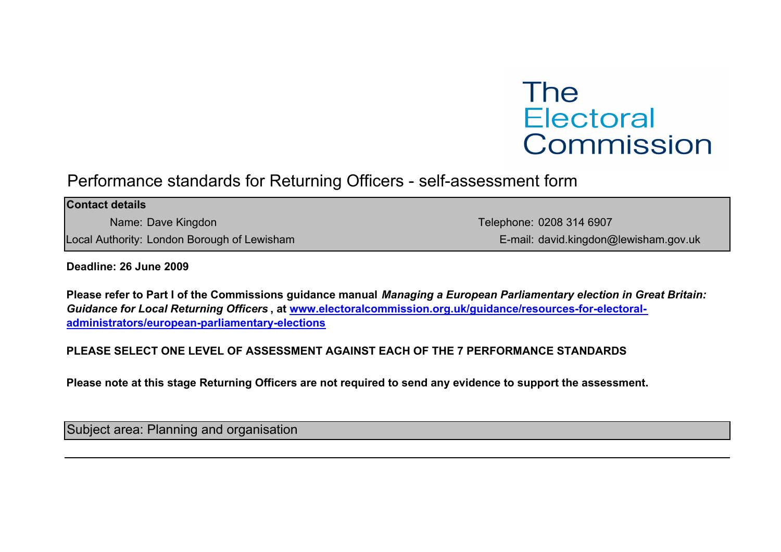# **The Electoral** Commission

## Performance standards for Returning Officers - self-assessment form

| <b>Contact details</b>                      |                                       |
|---------------------------------------------|---------------------------------------|
| Name: Dave Kingdon                          | Telephone: 0208 314 6907              |
| Local Authority: London Borough of Lewisham | E-mail: david.kingdon@lewisham.gov.uk |
|                                             |                                       |

#### Deadline: 26 June 2009

Please refer to Part I of the Commissions guidance manual Managing a European Parliamentary election in Great Britain: Guidance for Local Returning Officers , at www.electoralcommission.org.uk/guidance/resources-for-electoraladministrators/european-parliamentary-elections

#### PLEASE SELECT ONE LEVEL OF ASSESSMENT AGAINST EACH OF THE 7 PERFORMANCE STANDARDS

Please note at this stage Returning Officers are not required to send any evidence to support the assessment.

Subject area: Planning and organisation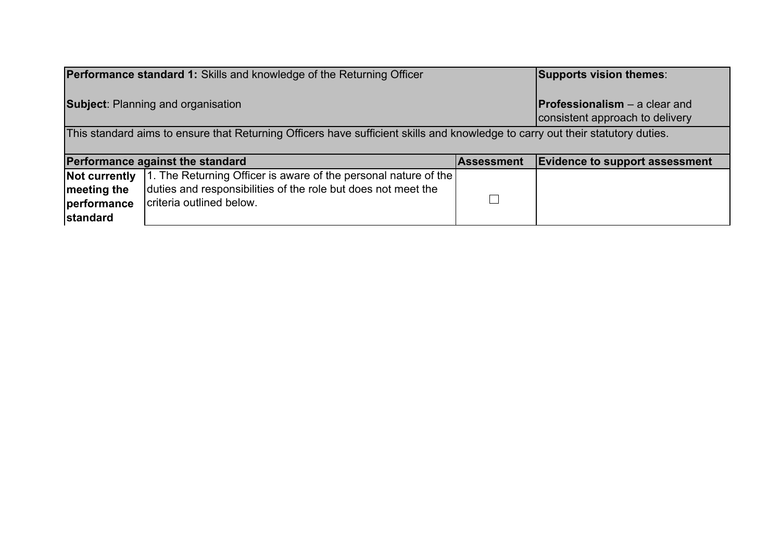|                                                                                                                                | <b>Performance standard 1:</b> Skills and knowledge of the Returning Officer |                                                                         | <b>Supports vision themes:</b>        |
|--------------------------------------------------------------------------------------------------------------------------------|------------------------------------------------------------------------------|-------------------------------------------------------------------------|---------------------------------------|
| <b>Subject: Planning and organisation</b>                                                                                      |                                                                              | <b>Professionalism</b> – a clear and<br>consistent approach to delivery |                                       |
| This standard aims to ensure that Returning Officers have sufficient skills and knowledge to carry out their statutory duties. |                                                                              |                                                                         |                                       |
|                                                                                                                                |                                                                              |                                                                         |                                       |
|                                                                                                                                | Performance against the standard                                             | <b>Assessment</b>                                                       | <b>Evidence to support assessment</b> |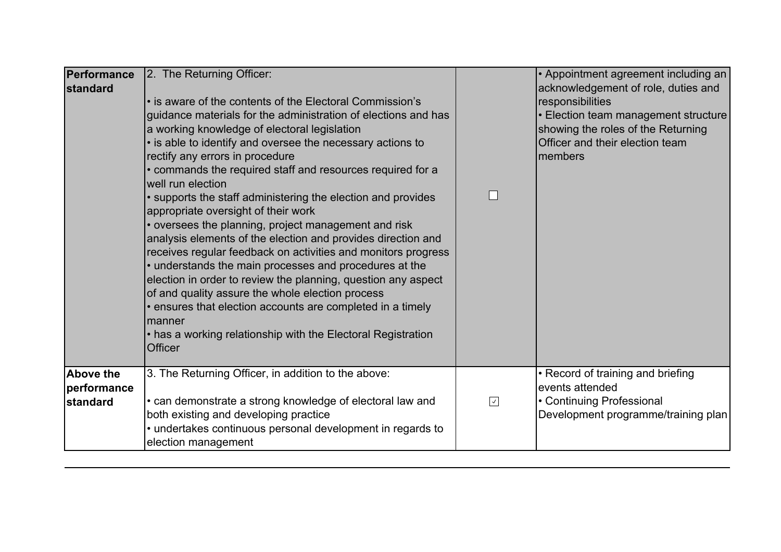| Performance<br><b>standard</b>       | 2. The Returning Officer:<br>• is aware of the contents of the Electoral Commission's<br>guidance materials for the administration of elections and has<br>a working knowledge of electoral legislation<br>· is able to identify and oversee the necessary actions to<br>rectify any errors in procedure<br>• commands the required staff and resources required for a<br>well run election<br>• supports the staff administering the election and provides<br>appropriate oversight of their work<br>• oversees the planning, project management and risk<br>analysis elements of the election and provides direction and<br>receives regular feedback on activities and monitors progress<br>• understands the main processes and procedures at the<br>election in order to review the planning, question any aspect<br>of and quality assure the whole election process<br>. ensures that election accounts are completed in a timely<br>manner<br>• has a working relationship with the Electoral Registration<br><b>Officer</b> | $\Box$     | • Appointment agreement including an<br>acknowledgement of role, duties and<br>responsibilities<br>· Election team management structure<br>showing the roles of the Returning<br>Officer and their election team<br>members |
|--------------------------------------|--------------------------------------------------------------------------------------------------------------------------------------------------------------------------------------------------------------------------------------------------------------------------------------------------------------------------------------------------------------------------------------------------------------------------------------------------------------------------------------------------------------------------------------------------------------------------------------------------------------------------------------------------------------------------------------------------------------------------------------------------------------------------------------------------------------------------------------------------------------------------------------------------------------------------------------------------------------------------------------------------------------------------------------|------------|-----------------------------------------------------------------------------------------------------------------------------------------------------------------------------------------------------------------------------|
| Above the<br>performance<br>standard | 3. The Returning Officer, in addition to the above:<br>• can demonstrate a strong knowledge of electoral law and<br>both existing and developing practice<br>• undertakes continuous personal development in regards to<br>election management                                                                                                                                                                                                                                                                                                                                                                                                                                                                                                                                                                                                                                                                                                                                                                                       | $\sqrt{ }$ | • Record of training and briefing<br>events attended<br>• Continuing Professional<br>Development programme/training plan                                                                                                    |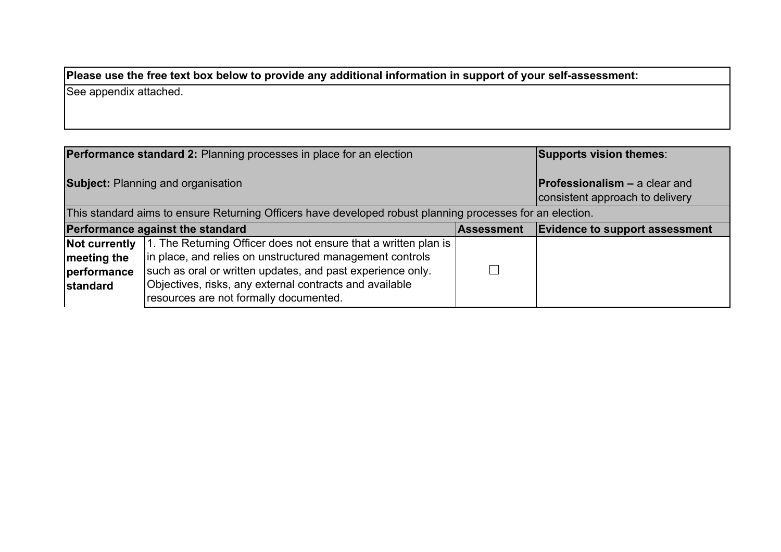See appendix attached.

|                                                                                                           | <b>Performance standard 2: Planning processes in place for an election</b> |                                                                         | Supports vision themes:               |
|-----------------------------------------------------------------------------------------------------------|----------------------------------------------------------------------------|-------------------------------------------------------------------------|---------------------------------------|
| <b>Subject: Planning and organisation</b>                                                                 |                                                                            | <b>Professionalism - a clear and</b><br>consistent approach to delivery |                                       |
| This standard aims to ensure Returning Officers have developed robust planning processes for an election. |                                                                            |                                                                         |                                       |
|                                                                                                           | Performance against the standard<br>Assessment                             |                                                                         | <b>Evidence to support assessment</b> |
| Not currently                                                                                             | 1. The Returning Officer does not ensure that a written plan is            |                                                                         |                                       |
| meeting the                                                                                               | in place, and relies on unstructured management controls                   |                                                                         |                                       |
| performance                                                                                               | such as oral or written updates, and past experience only.                 |                                                                         |                                       |
| <b>standard</b>                                                                                           | Objectives, risks, any external contracts and available                    |                                                                         |                                       |
|                                                                                                           | resources are not formally documented.                                     |                                                                         |                                       |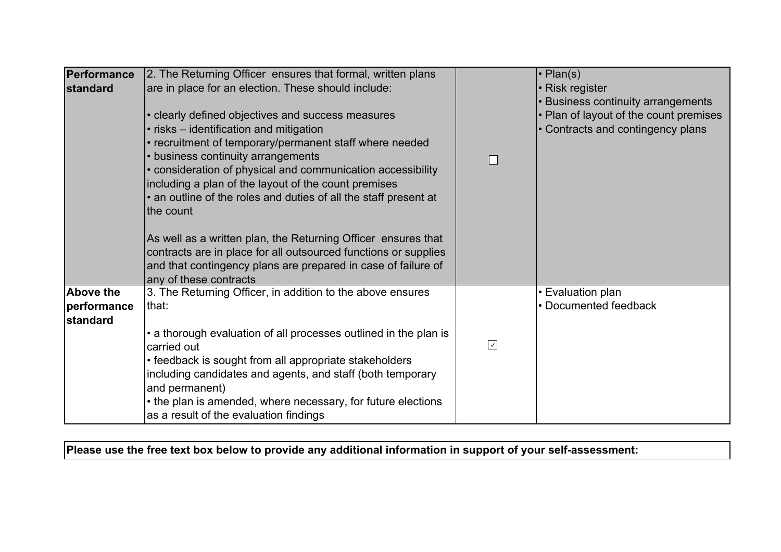| 2. The Returning Officer ensures that formal, written plans |                                                                                                                                                                                                                                                                                                                                                                                                                                                                                                                                                                                                                                                                                                                                                                                                                                                                                                                                                                                                                                                                                   | $\cdot$ Plan(s)                        |
|-------------------------------------------------------------|-----------------------------------------------------------------------------------------------------------------------------------------------------------------------------------------------------------------------------------------------------------------------------------------------------------------------------------------------------------------------------------------------------------------------------------------------------------------------------------------------------------------------------------------------------------------------------------------------------------------------------------------------------------------------------------------------------------------------------------------------------------------------------------------------------------------------------------------------------------------------------------------------------------------------------------------------------------------------------------------------------------------------------------------------------------------------------------|----------------------------------------|
|                                                             |                                                                                                                                                                                                                                                                                                                                                                                                                                                                                                                                                                                                                                                                                                                                                                                                                                                                                                                                                                                                                                                                                   | • Risk register                        |
|                                                             |                                                                                                                                                                                                                                                                                                                                                                                                                                                                                                                                                                                                                                                                                                                                                                                                                                                                                                                                                                                                                                                                                   | • Business continuity arrangements     |
|                                                             |                                                                                                                                                                                                                                                                                                                                                                                                                                                                                                                                                                                                                                                                                                                                                                                                                                                                                                                                                                                                                                                                                   | • Plan of layout of the count premises |
|                                                             |                                                                                                                                                                                                                                                                                                                                                                                                                                                                                                                                                                                                                                                                                                                                                                                                                                                                                                                                                                                                                                                                                   | • Contracts and contingency plans      |
|                                                             |                                                                                                                                                                                                                                                                                                                                                                                                                                                                                                                                                                                                                                                                                                                                                                                                                                                                                                                                                                                                                                                                                   |                                        |
|                                                             |                                                                                                                                                                                                                                                                                                                                                                                                                                                                                                                                                                                                                                                                                                                                                                                                                                                                                                                                                                                                                                                                                   |                                        |
|                                                             |                                                                                                                                                                                                                                                                                                                                                                                                                                                                                                                                                                                                                                                                                                                                                                                                                                                                                                                                                                                                                                                                                   |                                        |
|                                                             |                                                                                                                                                                                                                                                                                                                                                                                                                                                                                                                                                                                                                                                                                                                                                                                                                                                                                                                                                                                                                                                                                   |                                        |
|                                                             |                                                                                                                                                                                                                                                                                                                                                                                                                                                                                                                                                                                                                                                                                                                                                                                                                                                                                                                                                                                                                                                                                   |                                        |
|                                                             |                                                                                                                                                                                                                                                                                                                                                                                                                                                                                                                                                                                                                                                                                                                                                                                                                                                                                                                                                                                                                                                                                   |                                        |
|                                                             |                                                                                                                                                                                                                                                                                                                                                                                                                                                                                                                                                                                                                                                                                                                                                                                                                                                                                                                                                                                                                                                                                   |                                        |
|                                                             |                                                                                                                                                                                                                                                                                                                                                                                                                                                                                                                                                                                                                                                                                                                                                                                                                                                                                                                                                                                                                                                                                   |                                        |
|                                                             |                                                                                                                                                                                                                                                                                                                                                                                                                                                                                                                                                                                                                                                                                                                                                                                                                                                                                                                                                                                                                                                                                   |                                        |
|                                                             |                                                                                                                                                                                                                                                                                                                                                                                                                                                                                                                                                                                                                                                                                                                                                                                                                                                                                                                                                                                                                                                                                   |                                        |
|                                                             |                                                                                                                                                                                                                                                                                                                                                                                                                                                                                                                                                                                                                                                                                                                                                                                                                                                                                                                                                                                                                                                                                   |                                        |
|                                                             |                                                                                                                                                                                                                                                                                                                                                                                                                                                                                                                                                                                                                                                                                                                                                                                                                                                                                                                                                                                                                                                                                   | • Evaluation plan                      |
| that:                                                       |                                                                                                                                                                                                                                                                                                                                                                                                                                                                                                                                                                                                                                                                                                                                                                                                                                                                                                                                                                                                                                                                                   | • Documented feedback                  |
|                                                             |                                                                                                                                                                                                                                                                                                                                                                                                                                                                                                                                                                                                                                                                                                                                                                                                                                                                                                                                                                                                                                                                                   |                                        |
|                                                             |                                                                                                                                                                                                                                                                                                                                                                                                                                                                                                                                                                                                                                                                                                                                                                                                                                                                                                                                                                                                                                                                                   |                                        |
| carried out                                                 | $\boxed{\checkmark}$                                                                                                                                                                                                                                                                                                                                                                                                                                                                                                                                                                                                                                                                                                                                                                                                                                                                                                                                                                                                                                                              |                                        |
|                                                             |                                                                                                                                                                                                                                                                                                                                                                                                                                                                                                                                                                                                                                                                                                                                                                                                                                                                                                                                                                                                                                                                                   |                                        |
|                                                             |                                                                                                                                                                                                                                                                                                                                                                                                                                                                                                                                                                                                                                                                                                                                                                                                                                                                                                                                                                                                                                                                                   |                                        |
|                                                             |                                                                                                                                                                                                                                                                                                                                                                                                                                                                                                                                                                                                                                                                                                                                                                                                                                                                                                                                                                                                                                                                                   |                                        |
|                                                             |                                                                                                                                                                                                                                                                                                                                                                                                                                                                                                                                                                                                                                                                                                                                                                                                                                                                                                                                                                                                                                                                                   |                                        |
|                                                             |                                                                                                                                                                                                                                                                                                                                                                                                                                                                                                                                                                                                                                                                                                                                                                                                                                                                                                                                                                                                                                                                                   |                                        |
|                                                             | are in place for an election. These should include:<br>• clearly defined objectives and success measures<br>. risks – identification and mitigation<br>• recruitment of temporary/permanent staff where needed<br>• business continuity arrangements<br>• consideration of physical and communication accessibility<br>including a plan of the layout of the count premises<br>• an outline of the roles and duties of all the staff present at<br>the count<br>As well as a written plan, the Returning Officer ensures that<br>contracts are in place for all outsourced functions or supplies<br>and that contingency plans are prepared in case of failure of<br>any of these contracts<br>3. The Returning Officer, in addition to the above ensures<br>• a thorough evaluation of all processes outlined in the plan is<br>• feedback is sought from all appropriate stakeholders<br>including candidates and agents, and staff (both temporary<br>and permanent)<br>• the plan is amended, where necessary, for future elections<br>as a result of the evaluation findings | П                                      |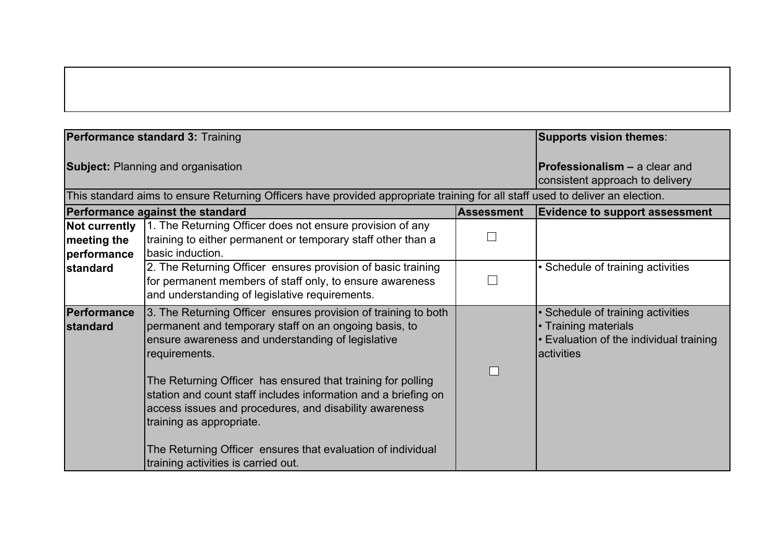|                                                                                                                               | Performance standard 3: Training                                                                                                                                                                                                                                                                                                                                                                                                                                                                                           |                                                                         | <b>Supports vision themes:</b>                                                                                    |
|-------------------------------------------------------------------------------------------------------------------------------|----------------------------------------------------------------------------------------------------------------------------------------------------------------------------------------------------------------------------------------------------------------------------------------------------------------------------------------------------------------------------------------------------------------------------------------------------------------------------------------------------------------------------|-------------------------------------------------------------------------|-------------------------------------------------------------------------------------------------------------------|
| <b>Subject: Planning and organisation</b>                                                                                     |                                                                                                                                                                                                                                                                                                                                                                                                                                                                                                                            | <b>Professionalism - a clear and</b><br>consistent approach to delivery |                                                                                                                   |
| This standard aims to ensure Returning Officers have provided appropriate training for all staff used to deliver an election. |                                                                                                                                                                                                                                                                                                                                                                                                                                                                                                                            |                                                                         |                                                                                                                   |
|                                                                                                                               | Performance against the standard                                                                                                                                                                                                                                                                                                                                                                                                                                                                                           | <b>Assessment</b>                                                       | <b>Evidence to support assessment</b>                                                                             |
| Not currently<br>meeting the<br>performance                                                                                   | 1. The Returning Officer does not ensure provision of any<br>training to either permanent or temporary staff other than a<br>basic induction.                                                                                                                                                                                                                                                                                                                                                                              |                                                                         |                                                                                                                   |
| standard                                                                                                                      | 2. The Returning Officer ensures provision of basic training<br>for permanent members of staff only, to ensure awareness<br>and understanding of legislative requirements.                                                                                                                                                                                                                                                                                                                                                 |                                                                         | • Schedule of training activities                                                                                 |
| Performance<br><b>standard</b>                                                                                                | 3. The Returning Officer ensures provision of training to both<br>permanent and temporary staff on an ongoing basis, to<br>ensure awareness and understanding of legislative<br>requirements.<br>The Returning Officer has ensured that training for polling<br>station and count staff includes information and a briefing on<br>access issues and procedures, and disability awareness<br>training as appropriate.<br>The Returning Officer ensures that evaluation of individual<br>training activities is carried out. |                                                                         | • Schedule of training activities<br>• Training materials<br>Evaluation of the individual training<br>lactivities |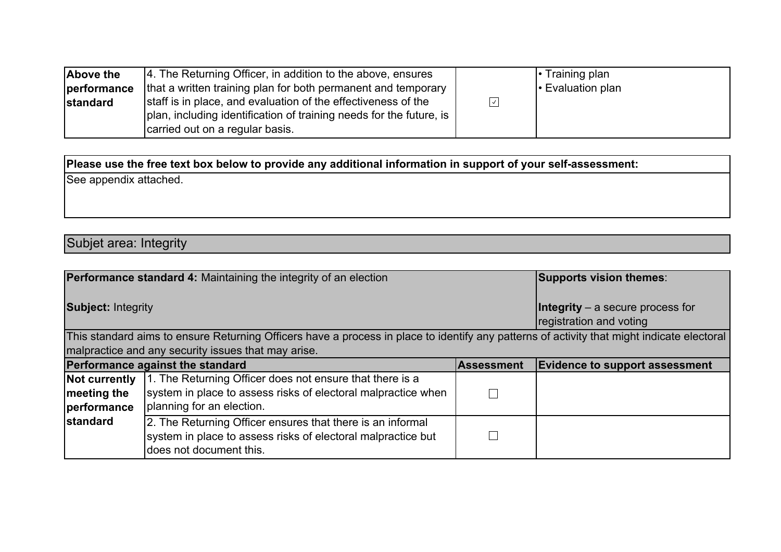| Above the       | 4. The Returning Officer, in addition to the above, ensures         |                    | $\cdot$ Training plan   |
|-----------------|---------------------------------------------------------------------|--------------------|-------------------------|
| performance     | that a written training plan for both permanent and temporary       |                    | $\cdot$ Evaluation plan |
| <b>standard</b> | staff is in place, and evaluation of the effectiveness of the       | $\vert \vee \vert$ |                         |
|                 | plan, including identification of training needs for the future, is |                    |                         |
|                 | carried out on a regular basis.                                     |                    |                         |

See appendix attached.

Subjet area: Integrity

|                                             | <b>Performance standard 4: Maintaining the integrity of an election</b>                                                                                                                           |                                                                      | Supports vision themes:               |
|---------------------------------------------|---------------------------------------------------------------------------------------------------------------------------------------------------------------------------------------------------|----------------------------------------------------------------------|---------------------------------------|
| <b>Subject: Integrity</b>                   |                                                                                                                                                                                                   | <b>Integrity</b> $-$ a secure process for<br>registration and voting |                                       |
|                                             | This standard aims to ensure Returning Officers have a process in place to identify any patterns of activity that might indicate electoral<br>malpractice and any security issues that may arise. |                                                                      |                                       |
|                                             | Performance against the standard                                                                                                                                                                  | Assessment                                                           | <b>Evidence to support assessment</b> |
| Not currently<br>meeting the<br>performance | 1. The Returning Officer does not ensure that there is a<br>system in place to assess risks of electoral malpractice when<br>planning for an election.                                            |                                                                      |                                       |
| <b>standard</b>                             | 2. The Returning Officer ensures that there is an informal<br>system in place to assess risks of electoral malpractice but<br>does not document this.                                             |                                                                      |                                       |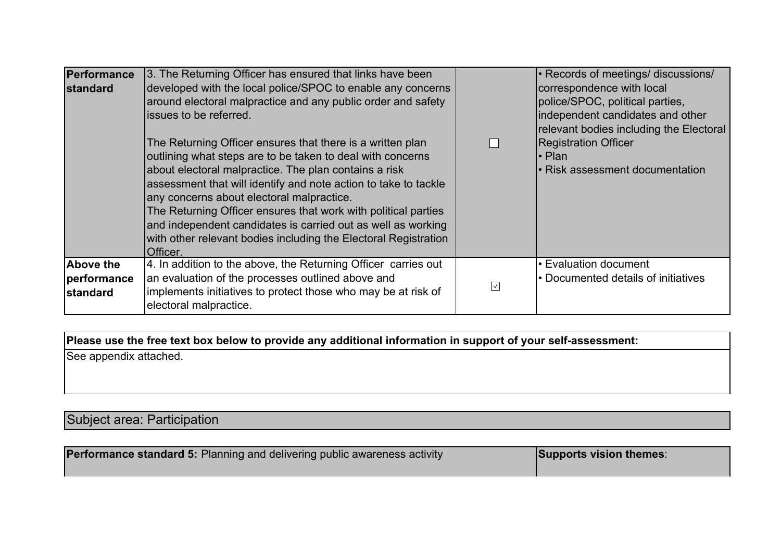| Performance<br><b>standard</b>              | 3. The Returning Officer has ensured that links have been<br>developed with the local police/SPOC to enable any concerns<br>around electoral malpractice and any public order and safety<br>issues to be referred.<br>The Returning Officer ensures that there is a written plan<br>outlining what steps are to be taken to deal with concerns<br>about electoral malpractice. The plan contains a risk<br>assessment that will identify and note action to take to tackle<br>any concerns about electoral malpractice.<br>The Returning Officer ensures that work with political parties<br>and independent candidates is carried out as well as working<br>with other relevant bodies including the Electoral Registration<br>Officer. |                          | • Records of meetings/ discussions/<br>correspondence with local<br>police/SPOC, political parties,<br>independent candidates and other<br>relevant bodies including the Electoral<br><b>Registration Officer</b><br>l• Plan<br>• Risk assessment documentation |
|---------------------------------------------|------------------------------------------------------------------------------------------------------------------------------------------------------------------------------------------------------------------------------------------------------------------------------------------------------------------------------------------------------------------------------------------------------------------------------------------------------------------------------------------------------------------------------------------------------------------------------------------------------------------------------------------------------------------------------------------------------------------------------------------|--------------------------|-----------------------------------------------------------------------------------------------------------------------------------------------------------------------------------------------------------------------------------------------------------------|
| <b>Above the</b><br>performance<br>standard | 4. In addition to the above, the Returning Officer carries out<br>an evaluation of the processes outlined above and<br>implements initiatives to protect those who may be at risk of                                                                                                                                                                                                                                                                                                                                                                                                                                                                                                                                                     | $\overline{\mathcal{A}}$ | • Evaluation document<br>• Documented details of initiatives                                                                                                                                                                                                    |
|                                             | electoral malpractice.                                                                                                                                                                                                                                                                                                                                                                                                                                                                                                                                                                                                                                                                                                                   |                          |                                                                                                                                                                                                                                                                 |

See appendix attached.

## Subject area: Participation

| <b>Performance standard 5:</b> Planning and delivering public awareness activity | Supports vision themes: |
|----------------------------------------------------------------------------------|-------------------------|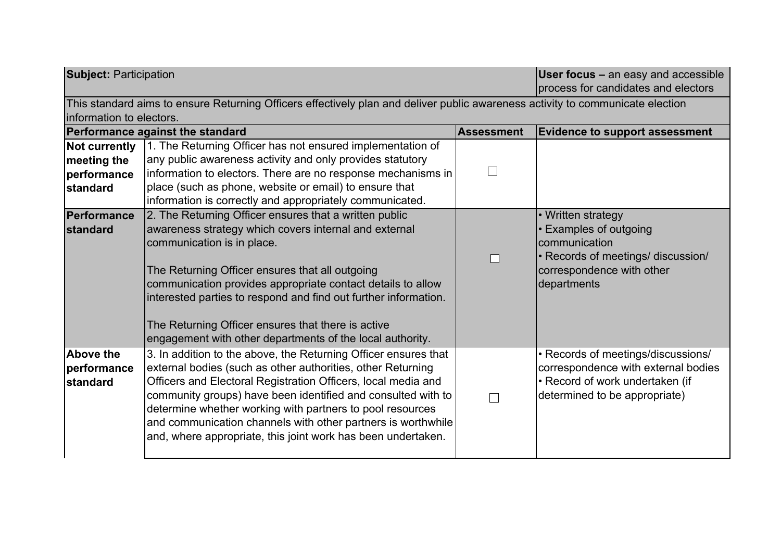| <b>Subject: Participation</b> |                                                                                                                                |                   | <b>User focus - an easy and accessible</b><br>process for candidates and electors |
|-------------------------------|--------------------------------------------------------------------------------------------------------------------------------|-------------------|-----------------------------------------------------------------------------------|
| linformation to electors.     | This standard aims to ensure Returning Officers effectively plan and deliver public awareness activity to communicate election |                   |                                                                                   |
|                               | Performance against the standard                                                                                               | <b>Assessment</b> | <b>Evidence to support assessment</b>                                             |
| Not currently                 | 1. The Returning Officer has not ensured implementation of                                                                     |                   |                                                                                   |
| meeting the                   | any public awareness activity and only provides statutory                                                                      |                   |                                                                                   |
| performance                   | information to electors. There are no response mechanisms in                                                                   | $\blacksquare$    |                                                                                   |
| standard                      | place (such as phone, website or email) to ensure that                                                                         |                   |                                                                                   |
|                               | information is correctly and appropriately communicated.                                                                       |                   |                                                                                   |
| Performance                   | 2. The Returning Officer ensures that a written public                                                                         |                   | • Written strategy                                                                |
| <b>standard</b>               | awareness strategy which covers internal and external                                                                          |                   | • Examples of outgoing                                                            |
|                               | communication is in place.                                                                                                     |                   | communication                                                                     |
|                               |                                                                                                                                |                   | • Records of meetings/ discussion/                                                |
|                               | The Returning Officer ensures that all outgoing                                                                                |                   | correspondence with other                                                         |
|                               | communication provides appropriate contact details to allow                                                                    |                   | departments                                                                       |
|                               | interested parties to respond and find out further information.                                                                |                   |                                                                                   |
|                               | The Returning Officer ensures that there is active                                                                             |                   |                                                                                   |
|                               | engagement with other departments of the local authority.                                                                      |                   |                                                                                   |
| Above the                     | 3. In addition to the above, the Returning Officer ensures that                                                                |                   | • Records of meetings/discussions/                                                |
| performance                   | external bodies (such as other authorities, other Returning                                                                    |                   | correspondence with external bodies                                               |
| standard                      | Officers and Electoral Registration Officers, local media and                                                                  |                   | • Record of work undertaken (if                                                   |
|                               | community groups) have been identified and consulted with to                                                                   |                   | determined to be appropriate)                                                     |
|                               | determine whether working with partners to pool resources                                                                      |                   |                                                                                   |
|                               | and communication channels with other partners is worthwhile                                                                   |                   |                                                                                   |
|                               | and, where appropriate, this joint work has been undertaken.                                                                   |                   |                                                                                   |
|                               |                                                                                                                                |                   |                                                                                   |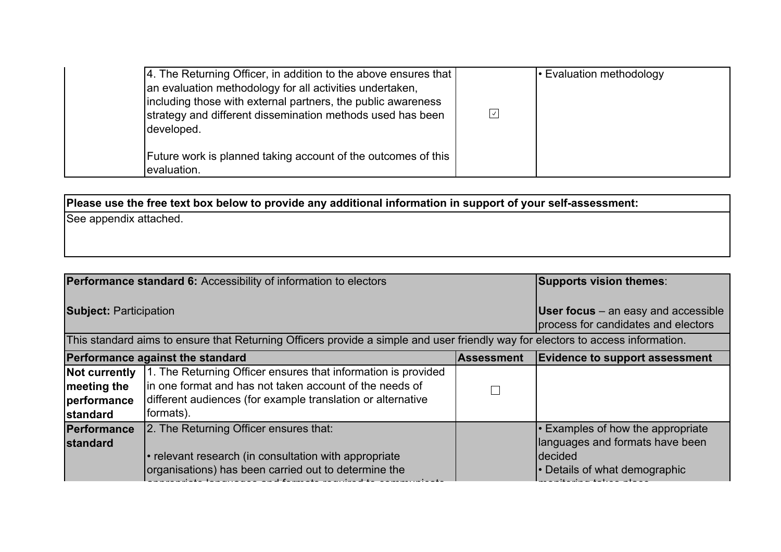| 4. The Returning Officer, in addition to the above ensures that<br>an evaluation methodology for all activities undertaken,<br>including those with external partners, the public awareness<br>strategy and different dissemination methods used has been<br>developed. | $\sqrt{ }$ | <b>Evaluation methodology</b> • Evaluation methodology |
|-------------------------------------------------------------------------------------------------------------------------------------------------------------------------------------------------------------------------------------------------------------------------|------------|--------------------------------------------------------|
| Future work is planned taking account of the outcomes of this<br>evaluation.                                                                                                                                                                                            |            |                                                        |

See appendix attached.

| <b>Performance standard 6:</b> Accessibility of information to electors                                                         |                                                                                                                                                                                                       |                   | Supports vision themes:                                                                                                        |  |
|---------------------------------------------------------------------------------------------------------------------------------|-------------------------------------------------------------------------------------------------------------------------------------------------------------------------------------------------------|-------------------|--------------------------------------------------------------------------------------------------------------------------------|--|
| <b>Subject: Participation</b>                                                                                                   |                                                                                                                                                                                                       |                   | <b>User focus</b> $-$ an easy and accessible<br>process for candidates and electors                                            |  |
| This standard aims to ensure that Returning Officers provide a simple and user friendly way for electors to access information. |                                                                                                                                                                                                       |                   |                                                                                                                                |  |
|                                                                                                                                 | Performance against the standard                                                                                                                                                                      | <b>Assessment</b> | <b>Evidence to support assessment</b>                                                                                          |  |
| <b>Not currently</b><br>meeting the<br>performance<br><b>standard</b>                                                           | 1. The Returning Officer ensures that information is provided<br>lin one format and has not taken account of the needs of<br>different audiences (for example translation or alternative<br>formats). |                   |                                                                                                                                |  |
| Performance<br><b>standard</b>                                                                                                  | 2. The Returning Officer ensures that:<br>• relevant research (in consultation with appropriate<br>organisations) has been carried out to determine the                                               |                   | $\cdot$ Examples of how the appropriate<br>languages and formats have been<br><b>Idecided</b><br>• Details of what demographic |  |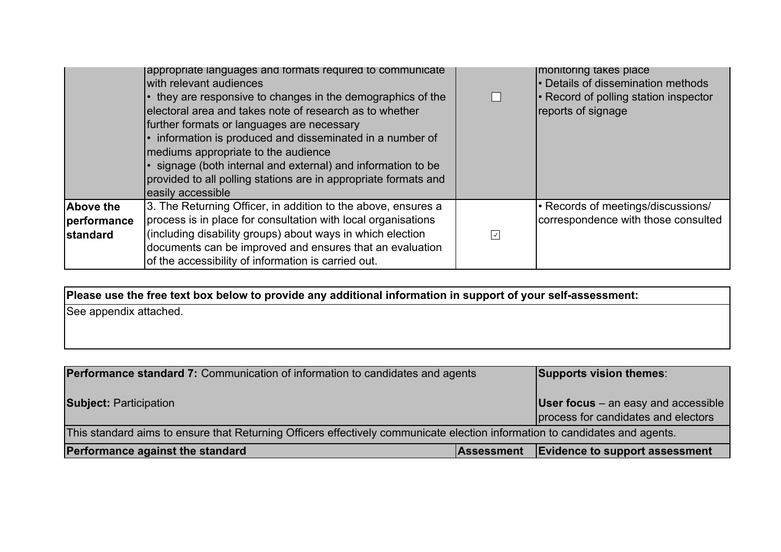|                                | appropriate languages and formats required to communicate<br>with relevant audiences<br>• they are responsive to changes in the demographics of the<br>electoral area and takes note of research as to whether<br>further formats or languages are necessary<br>• information is produced and disseminated in a number of<br>mediums appropriate to the audience<br>· signage (both internal and external) and information to be<br>provided to all polling stations are in appropriate formats and<br>easily accessible | $\Box$                   | Imonitoring takes place<br>• Details of dissemination methods<br>• Record of polling station inspector<br>reports of signage |
|--------------------------------|--------------------------------------------------------------------------------------------------------------------------------------------------------------------------------------------------------------------------------------------------------------------------------------------------------------------------------------------------------------------------------------------------------------------------------------------------------------------------------------------------------------------------|--------------------------|------------------------------------------------------------------------------------------------------------------------------|
| <b>Above the</b>               | 3. The Returning Officer, in addition to the above, ensures a                                                                                                                                                                                                                                                                                                                                                                                                                                                            |                          | • Records of meetings/discussions/                                                                                           |
| performance<br><b>standard</b> | process is in place for consultation with local organisations<br>(including disability groups) about ways in which election                                                                                                                                                                                                                                                                                                                                                                                              | $\overline{\mathcal{A}}$ | correspondence with those consulted                                                                                          |
|                                | documents can be improved and ensures that an evaluation<br>of the accessibility of information is carried out.                                                                                                                                                                                                                                                                                                                                                                                                          |                          |                                                                                                                              |

| <b>Performance standard 7:</b> Communication of information to candidates and agents                                        |                   | Supports vision themes:                                                             |  |  |
|-----------------------------------------------------------------------------------------------------------------------------|-------------------|-------------------------------------------------------------------------------------|--|--|
| <b>Subject: Participation</b>                                                                                               |                   | <b>User focus</b> $-$ an easy and accessible<br>process for candidates and electors |  |  |
| This standard aims to ensure that Returning Officers effectively communicate election information to candidates and agents. |                   |                                                                                     |  |  |
| Performance against the standard                                                                                            | <b>Assessment</b> | <b>Evidence to support assessment</b>                                               |  |  |